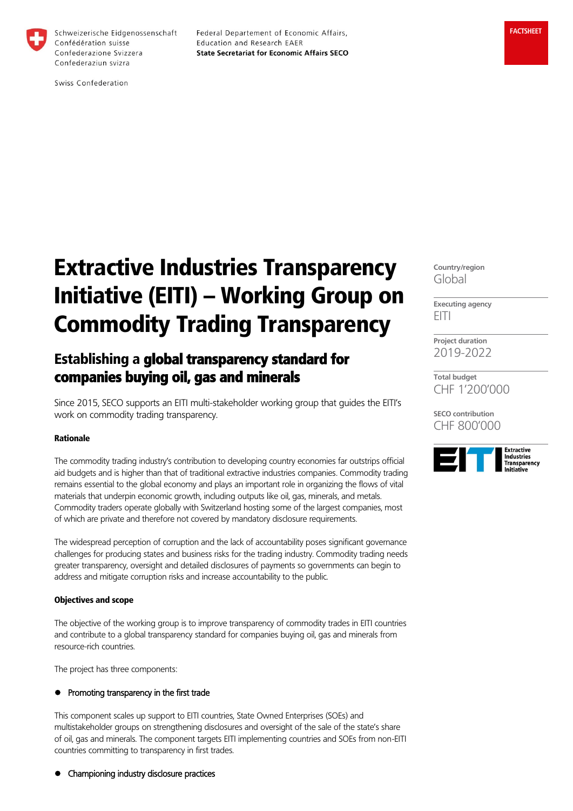

Federal Departement of Economic Affairs, Education and Research EAER **State Secretariat for Economic Affairs SECO** 

Swiss Confederation

# Extractive Industries Transparency Initiative (EITI) – Working Group on Commodity Trading Transparency

# Establishing a global transparency standard for companies buying oil, gas and minerals

Since 2015, SECO supports an EITI multi-stakeholder working group that guides the EITI's work on commodity trading transparency.

#### Rationale

The commodity trading industry's contribution to developing country economies far outstrips official aid budgets and is higher than that of traditional extractive industries companies. Commodity trading remains essential to the global economy and plays an important role in organizing the flows of vital materials that underpin economic growth, including outputs like oil, gas, minerals, and metals. Commodity traders operate globally with Switzerland hosting some of the largest companies, most of which are private and therefore not covered by mandatory disclosure requirements.

The widespread perception of corruption and the lack of accountability poses significant governance challenges for producing states and business risks for the trading industry. Commodity trading needs greater transparency, oversight and detailed disclosures of payments so governments can begin to address and mitigate corruption risks and increase accountability to the public.

#### Objectives and scope

The objective of the working group is to improve transparency of commodity trades in EITI countries and contribute to a global transparency standard for companies buying oil, gas and minerals from resource-rich countries.

The project has three components:

### Promoting transparency in the first trade

This component scales up support to EITI countries, State Owned Enterprises (SOEs) and multistakeholder groups on strengthening disclosures and oversight of the sale of the state's share of oil, gas and minerals. The component targets EITI implementing countries and SOEs from non-EITI countries committing to transparency in first trades.

**Country/region** Global

**Executing agency** EITI

**Project duration** 2019-2022

**Total budget** CHF 1'200'000

**SECO contribution** CHF 800'000



**•** Championing industry disclosure practices